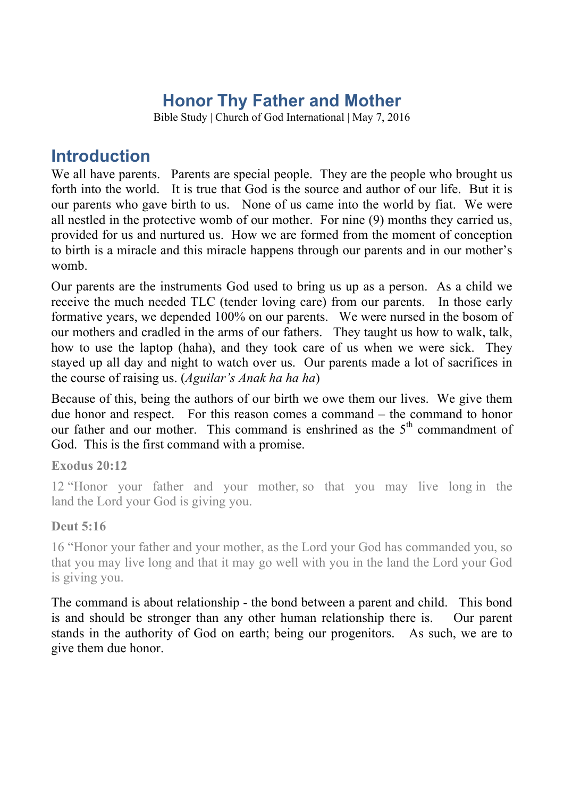# **Honor Thy Father and Mother**

Bible Study | Church of God International | May 7, 2016

### **Introduction**

We all have parents. Parents are special people. They are the people who brought us forth into the world. It is true that God is the source and author of our life. But it is our parents who gave birth to us. None of us came into the world by fiat. We were all nestled in the protective womb of our mother. For nine (9) months they carried us, provided for us and nurtured us. How we are formed from the moment of conception to birth is a miracle and this miracle happens through our parents and in our mother's womb.

Our parents are the instruments God used to bring us up as a person. As a child we receive the much needed TLC (tender loving care) from our parents. In those early formative years, we depended 100% on our parents. We were nursed in the bosom of our mothers and cradled in the arms of our fathers. They taught us how to walk, talk, how to use the laptop (haha), and they took care of us when we were sick. They stayed up all day and night to watch over us. Our parents made a lot of sacrifices in the course of raising us. (*Aguilar's Anak ha ha ha*)

Because of this, being the authors of our birth we owe them our lives. We give them due honor and respect. For this reason comes a command – the command to honor our father and our mother. This command is enshrined as the 5<sup>th</sup> commandment of God. This is the first command with a promise.

#### **Exodus 20:12**

12 "Honor your father and your mother, so that you may live long in the land the Lord your God is giving you.

#### **Deut 5:16**

16 "Honor your father and your mother, as the Lord your God has commanded you, so that you may live long and that it may go well with you in the land the Lord your God is giving you.

The command is about relationship - the bond between a parent and child. This bond is and should be stronger than any other human relationship there is. Our parent stands in the authority of God on earth; being our progenitors. As such, we are to give them due honor.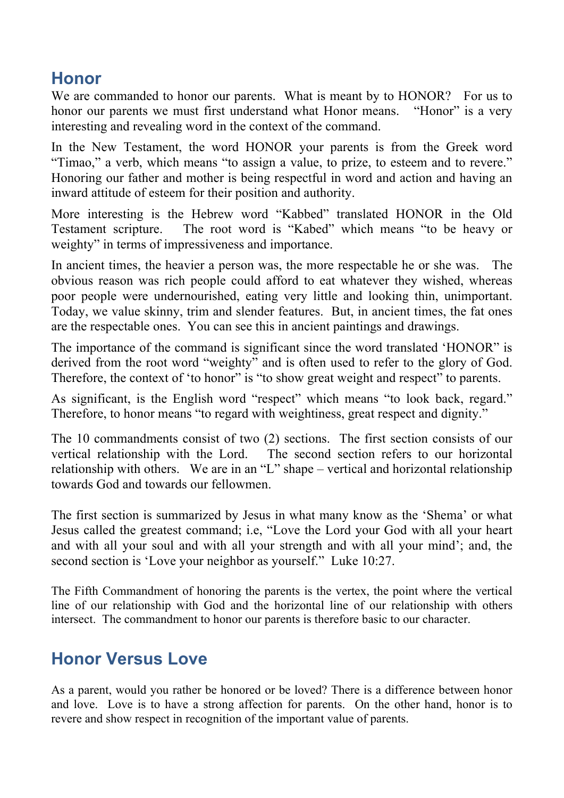## **Honor**

We are commanded to honor our parents. What is meant by to HONOR? For us to honor our parents we must first understand what Honor means. "Honor" is a very interesting and revealing word in the context of the command.

In the New Testament, the word HONOR your parents is from the Greek word "Timao," a verb, which means "to assign a value, to prize, to esteem and to revere." Honoring our father and mother is being respectful in word and action and having an inward attitude of esteem for their position and authority.

More interesting is the Hebrew word "Kabbed" translated HONOR in the Old Testament scripture. The root word is "Kabed" which means "to be heavy or weighty" in terms of impressiveness and importance.

In ancient times, the heavier a person was, the more respectable he or she was. The obvious reason was rich people could afford to eat whatever they wished, whereas poor people were undernourished, eating very little and looking thin, unimportant. Today, we value skinny, trim and slender features. But, in ancient times, the fat ones are the respectable ones. You can see this in ancient paintings and drawings.

The importance of the command is significant since the word translated 'HONOR" is derived from the root word "weighty" and is often used to refer to the glory of God. Therefore, the context of 'to honor" is "to show great weight and respect" to parents.

As significant, is the English word "respect" which means "to look back, regard." Therefore, to honor means "to regard with weightiness, great respect and dignity."

The 10 commandments consist of two (2) sections. The first section consists of our vertical relationship with the Lord. The second section refers to our horizontal relationship with others. We are in an "L" shape – vertical and horizontal relationship towards God and towards our fellowmen.

The first section is summarized by Jesus in what many know as the 'Shema' or what Jesus called the greatest command; i.e, "Love the Lord your God with all your heart and with all your soul and with all your strength and with all your mind'; and, the second section is 'Love your neighbor as yourself." Luke 10:27.

The Fifth Commandment of honoring the parents is the vertex, the point where the vertical line of our relationship with God and the horizontal line of our relationship with others intersect. The commandment to honor our parents is therefore basic to our character.

## **Honor Versus Love**

As a parent, would you rather be honored or be loved? There is a difference between honor and love. Love is to have a strong affection for parents. On the other hand, honor is to revere and show respect in recognition of the important value of parents.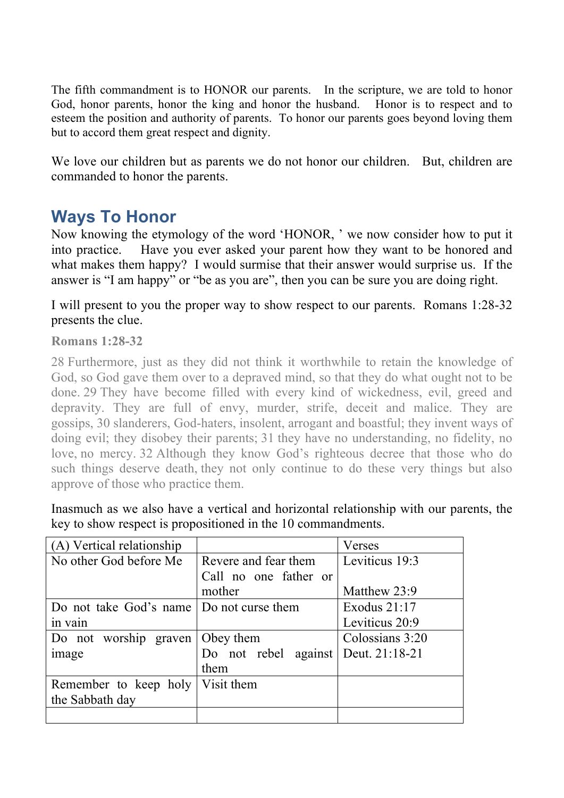The fifth commandment is to HONOR our parents. In the scripture, we are told to honor God, honor parents, honor the king and honor the husband. Honor is to respect and to esteem the position and authority of parents. To honor our parents goes beyond loving them but to accord them great respect and dignity.

We love our children but as parents we do not honor our children. But, children are commanded to honor the parents.

## **Ways To Honor**

Now knowing the etymology of the word 'HONOR, ' we now consider how to put it into practice. Have you ever asked your parent how they want to be honored and what makes them happy? I would surmise that their answer would surprise us. If the answer is "I am happy" or "be as you are", then you can be sure you are doing right.

I will present to you the proper way to show respect to our parents. Romans 1:28-32 presents the clue.

#### **Romans 1:28-32**

28 Furthermore, just as they did not think it worthwhile to retain the knowledge of God, so God gave them over to a depraved mind, so that they do what ought not to be done. 29 They have become filled with every kind of wickedness, evil, greed and depravity. They are full of envy, murder, strife, deceit and malice. They are gossips, 30 slanderers, God-haters, insolent, arrogant and boastful; they invent ways of doing evil; they disobey their parents; 31 they have no understanding, no fidelity, no love, no mercy. 32 Although they know God's righteous decree that those who do such things deserve death, they not only continue to do these very things but also approve of those who practice them.

Inasmuch as we also have a vertical and horizontal relationship with our parents, the key to show respect is propositioned in the 10 commandments.

| (A) Vertical relationship                |                       | Verses          |
|------------------------------------------|-----------------------|-----------------|
| No other God before Me                   | Revere and fear them  | Leviticus 19:3  |
|                                          | Call no one father or |                 |
|                                          | mother                | Matthew 23:9    |
| Do not take God's name Do not curse them |                       | Exodus $21:17$  |
| in vain                                  |                       | Leviticus 20:9  |
| Do not worship graven                    | Obey them             | Colossians 3:20 |
| image                                    | Do not rebel against  | Deut. 21:18-21  |
|                                          | them                  |                 |
| Remember to keep holy   Visit them       |                       |                 |
| the Sabbath day                          |                       |                 |
|                                          |                       |                 |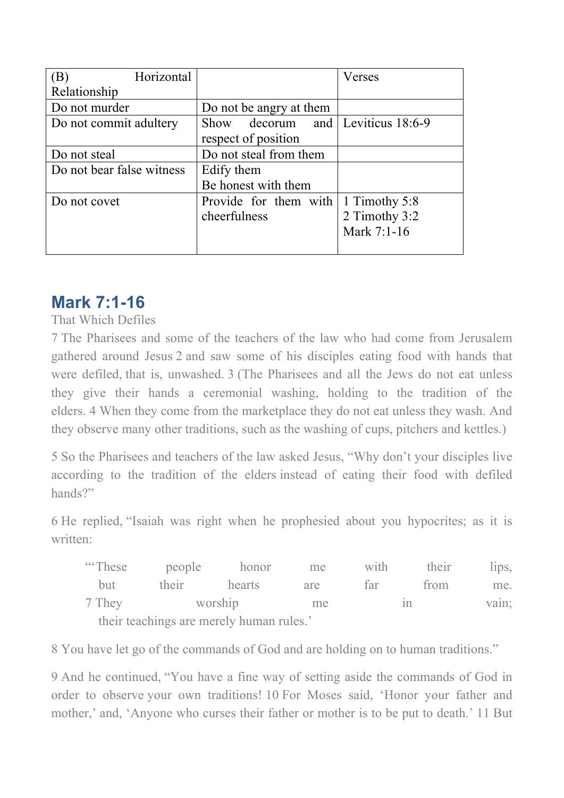| Horizontal<br>(B)         |                                   | Verses        |  |  |  |
|---------------------------|-----------------------------------|---------------|--|--|--|
| Relationship              |                                   |               |  |  |  |
| Do not murder             | Do not be angry at them           |               |  |  |  |
| Do not commit adultery    | Show decorum and Leviticus 18:6-9 |               |  |  |  |
|                           | respect of position               |               |  |  |  |
| Do not steal              | Do not steal from them            |               |  |  |  |
| Do not bear false witness | Edify them                        |               |  |  |  |
|                           | Be honest with them               |               |  |  |  |
| Do not covet              | Provide for them with             | 1 Timothy 5:8 |  |  |  |
|                           | cheerfulness                      | 2 Timothy 3:2 |  |  |  |
|                           |                                   | Mark 7:1-16   |  |  |  |
|                           |                                   |               |  |  |  |

### **Mark 7:1-16**

That Which Defiles

7 The Pharisees and some of the teachers of the law who had come from Jerusalem gathered around Jesus 2 and saw some of his disciples eating food with hands that were defiled, that is, unwashed. 3 (The Pharisees and all the Jews do not eat unless they give their hands a ceremonial washing, holding to the tradition of the elders. 4 When they come from the marketplace they do not eat unless they wash. And they observe many other traditions, such as the washing of cups, pitchers and kettles.)

5 So the Pharisees and teachers of the law asked Jesus, "Why don't your disciples live according to the tradition of the elders instead of eating their food with defiled hands?"

6 He replied, "Isaiah was right when he prophesied about you hypocrites; as it is written:

| "These" |                                          | people honor | me  | with | their | $11DS$ , |
|---------|------------------------------------------|--------------|-----|------|-------|----------|
| but -   | their                                    | hearts       | are | far  | from  | me.      |
| 7 They  | worship                                  |              | me  |      |       | vain;    |
|         | their teachings are merely human rules.' |              |     |      |       |          |

8 You have let go of the commands of God and are holding on to human traditions."

9 And he continued, "You have a fine way of setting aside the commands of God in order to observe your own traditions! 10 For Moses said, 'Honor your father and mother,' and, 'Anyone who curses their father or mother is to be put to death.' 11 But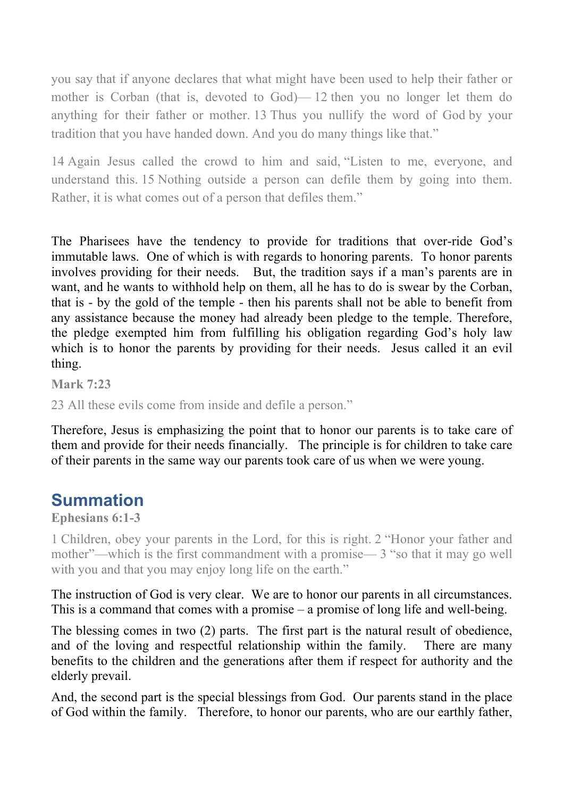you say that if anyone declares that what might have been used to help their father or mother is Corban (that is, devoted to God)— 12 then you no longer let them do anything for their father or mother. 13 Thus you nullify the word of God by your tradition that you have handed down. And you do many things like that."

14 Again Jesus called the crowd to him and said, "Listen to me, everyone, and understand this. 15 Nothing outside a person can defile them by going into them. Rather, it is what comes out of a person that defiles them."

The Pharisees have the tendency to provide for traditions that over-ride God's immutable laws. One of which is with regards to honoring parents. To honor parents involves providing for their needs. But, the tradition says if a man's parents are in want, and he wants to withhold help on them, all he has to do is swear by the Corban, that is - by the gold of the temple - then his parents shall not be able to benefit from any assistance because the money had already been pledge to the temple. Therefore, the pledge exempted him from fulfilling his obligation regarding God's holy law which is to honor the parents by providing for their needs. Jesus called it an evil thing.

**Mark 7:23**

23 All these evils come from inside and defile a person."

Therefore, Jesus is emphasizing the point that to honor our parents is to take care of them and provide for their needs financially. The principle is for children to take care of their parents in the same way our parents took care of us when we were young.

## **Summation**

**Ephesians 6:1-3**

1 Children, obey your parents in the Lord, for this is right. 2 "Honor your father and mother"—which is the first commandment with a promise— 3 "so that it may go well with you and that you may enjoy long life on the earth."

The instruction of God is very clear. We are to honor our parents in all circumstances. This is a command that comes with a promise – a promise of long life and well-being.

The blessing comes in two (2) parts. The first part is the natural result of obedience, and of the loving and respectful relationship within the family. There are many benefits to the children and the generations after them if respect for authority and the elderly prevail.

And, the second part is the special blessings from God. Our parents stand in the place of God within the family. Therefore, to honor our parents, who are our earthly father,